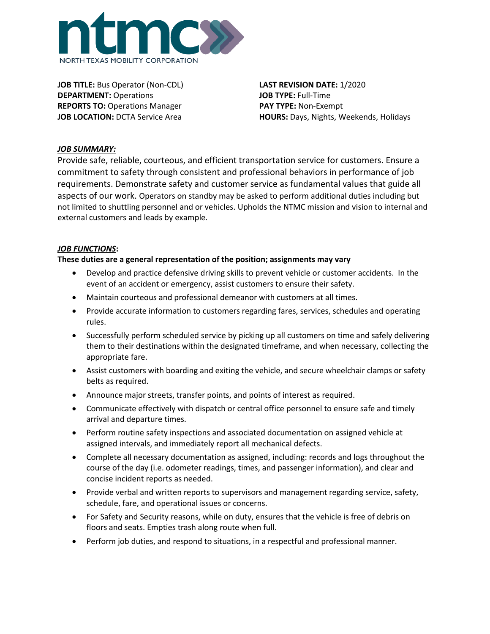

**JOB TITLE:** Bus Operator (Non-CDL) **LAST REVISION DATE:** 1/2020 **DEPARTMENT:** Operations **JOB TYPE:** Full-Time **REPORTS TO:** Operations Manager **PAY TYPE:** Non-Exempt

**JOB LOCATION:** DCTA Service Area **HOURS:** Days, Nights, Weekends, Holidays

## *JOB SUMMARY:*

Provide safe, reliable, courteous, and efficient transportation service for customers. Ensure a commitment to safety through consistent and professional behaviors in performance of job requirements. Demonstrate safety and customer service as fundamental values that guide all aspects of our work. Operators on standby may be asked to perform additional duties including but not limited to shuttling personnel and or vehicles. Upholds the NTMC mission and vision to internal and external customers and leads by example.

## *JOB FUNCTIONS***:**

#### **These duties are a general representation of the position; assignments may vary**

- Develop and practice defensive driving skills to prevent vehicle or customer accidents. In the event of an accident or emergency, assist customers to ensure their safety.
- Maintain courteous and professional demeanor with customers at all times.
- Provide accurate information to customers regarding fares, services, schedules and operating rules.
- Successfully perform scheduled service by picking up all customers on time and safely delivering them to their destinations within the designated timeframe, and when necessary, collecting the appropriate fare.
- Assist customers with boarding and exiting the vehicle, and secure wheelchair clamps or safety belts as required.
- Announce major streets, transfer points, and points of interest as required.
- Communicate effectively with dispatch or central office personnel to ensure safe and timely arrival and departure times.
- Perform routine safety inspections and associated documentation on assigned vehicle at assigned intervals, and immediately report all mechanical defects.
- Complete all necessary documentation as assigned, including: records and logs throughout the course of the day (i.e. odometer readings, times, and passenger information), and clear and concise incident reports as needed.
- Provide verbal and written reports to supervisors and management regarding service, safety, schedule, fare, and operational issues or concerns.
- For Safety and Security reasons, while on duty, ensures that the vehicle is free of debris on floors and seats. Empties trash along route when full.
- Perform job duties, and respond to situations, in a respectful and professional manner.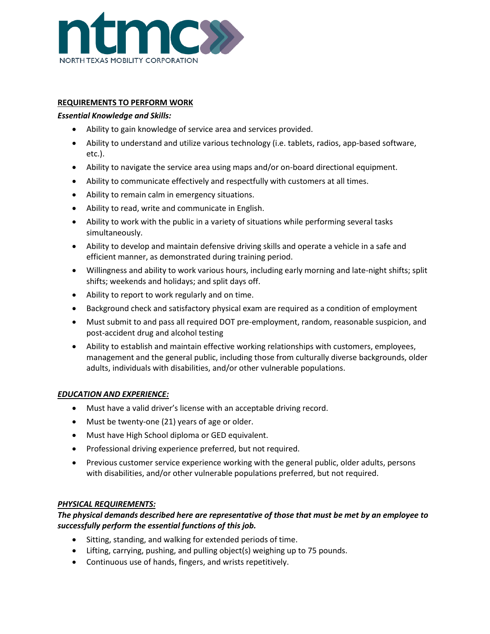

## **REQUIREMENTS TO PERFORM WORK**

### *Essential Knowledge and Skills:*

- Ability to gain knowledge of service area and services provided.
- Ability to understand and utilize various technology (i.e. tablets, radios, app-based software, etc.).
- Ability to navigate the service area using maps and/or on-board directional equipment.
- Ability to communicate effectively and respectfully with customers at all times.
- Ability to remain calm in emergency situations.
- Ability to read, write and communicate in English.
- Ability to work with the public in a variety of situations while performing several tasks simultaneously.
- Ability to develop and maintain defensive driving skills and operate a vehicle in a safe and efficient manner, as demonstrated during training period.
- Willingness and ability to work various hours, including early morning and late-night shifts; split shifts; weekends and holidays; and split days off.
- Ability to report to work regularly and on time.
- Background check and satisfactory physical exam are required as a condition of employment
- Must submit to and pass all required DOT pre-employment, random, reasonable suspicion, and post-accident drug and alcohol testing
- Ability to establish and maintain effective working relationships with customers, employees, management and the general public, including those from culturally diverse backgrounds, older adults, individuals with disabilities, and/or other vulnerable populations.

#### *EDUCATION AND EXPERIENCE:*

- Must have a valid driver's license with an acceptable driving record.
- Must be twenty-one (21) years of age or older.
- Must have High School diploma or GED equivalent.
- Professional driving experience preferred, but not required.
- Previous customer service experience working with the general public, older adults, persons with disabilities, and/or other vulnerable populations preferred, but not required.

#### *PHYSICAL REQUIREMENTS:*

# *The physical demands described here are representative of those that must be met by an employee to successfully perform the essential functions of this job.*

- Sitting, standing, and walking for extended periods of time.
- Lifting, carrying, pushing, and pulling object(s) weighing up to 75 pounds.
- Continuous use of hands, fingers, and wrists repetitively.